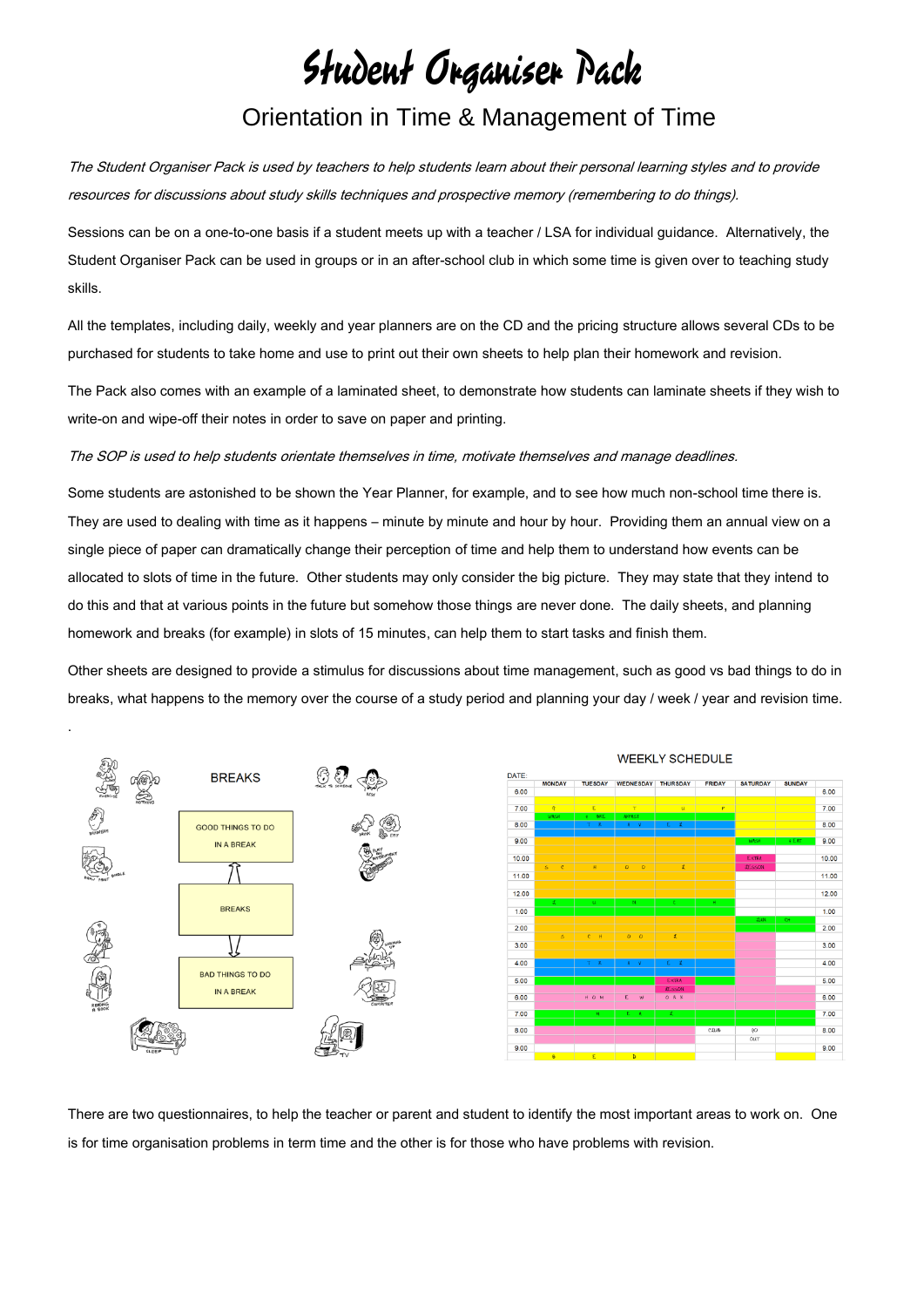## Student Organiser Pack Orientation in Time & Management of Time

The Student Organiser Pack is used by teachers to help students learn about their personal learning styles and to provide resources for discussions about study skills techniques and prospective memory (remembering to do things).

Sessions can be on a one-to-one basis if a student meets up with a teacher / LSA for individual guidance. Alternatively, the Student Organiser Pack can be used in groups or in an after-school club in which some time is given over to teaching study skills.

All the templates, including daily, weekly and year planners are on the CD and the pricing structure allows several CDs to be purchased for students to take home and use to print out their own sheets to help plan their homework and revision.

The Pack also comes with an example of a laminated sheet, to demonstrate how students can laminate sheets if they wish to write-on and wipe-off their notes in order to save on paper and printing.

## The SOP is used to help students orientate themselves in time, motivate themselves and manage deadlines.

.

Some students are astonished to be shown the Year Planner, for example, and to see how much non-school time there is. They are used to dealing with time as it happens – minute by minute and hour by hour. Providing them an annual view on a single piece of paper can dramatically change their perception of time and help them to understand how events can be allocated to slots of time in the future. Other students may only consider the big picture. They may state that they intend to do this and that at various points in the future but somehow those things are never done. The daily sheets, and planning homework and breaks (for example) in slots of 15 minutes, can help them to start tasks and finish them.

Other sheets are designed to provide a stimulus for discussions about time management, such as good vs bad things to do in breaks, what happens to the memory over the course of a study period and planning your day / week / year and revision time.



There are two questionnaires, to help the teacher or parent and student to identify the most important areas to work on. One is for time organisation problems in term time and the other is for those who have problems with revision.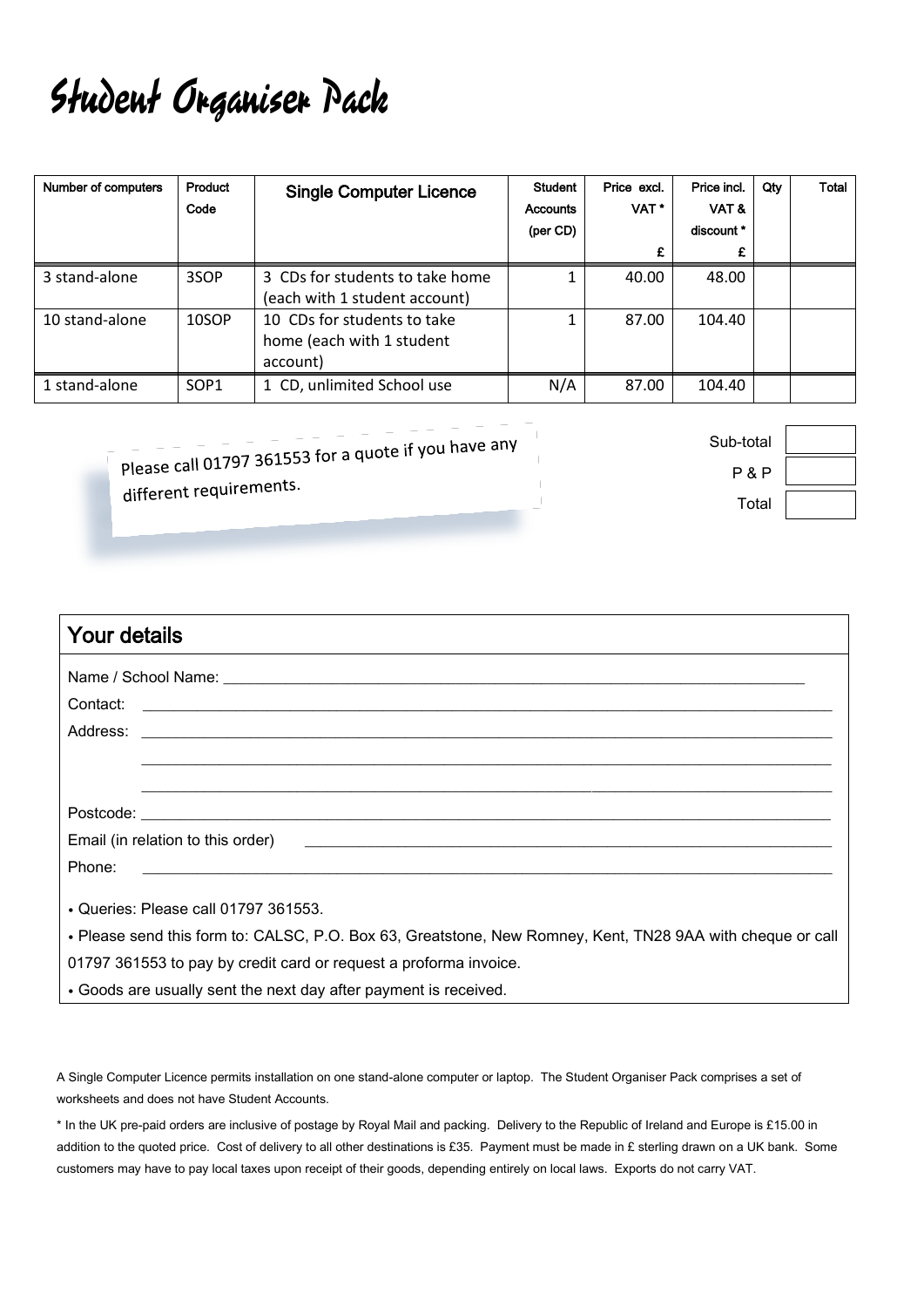## Student Organiser Pack

| Number of computers | Product<br>Code  | <b>Single Computer Licence</b>                                       | <b>Student</b><br><b>Accounts</b><br>(per CD) | Price excl.<br>VAT <sup>*</sup><br>£ | Price incl.<br>VAT&<br>discount *<br>£ | Qty | <b>Total</b> |
|---------------------|------------------|----------------------------------------------------------------------|-----------------------------------------------|--------------------------------------|----------------------------------------|-----|--------------|
| 3 stand-alone       | 3SOP             | 3 CDs for students to take home<br>(each with 1 student account)     |                                               | 40.00                                | 48.00                                  |     |              |
| 10 stand-alone      | 10SOP            | 10 CDs for students to take<br>home (each with 1 student<br>account) |                                               | 87.00                                | 104.40                                 |     |              |
| 1 stand-alone       | SOP <sub>1</sub> | 1 CD, unlimited School use                                           | N/A                                           | 87.00                                | 104.40                                 |     |              |

Please call 01797 361553 for a quote if you have any different requirements.

Sub-total P & P Total

| Your details                                                                                                                    |
|---------------------------------------------------------------------------------------------------------------------------------|
|                                                                                                                                 |
|                                                                                                                                 |
|                                                                                                                                 |
|                                                                                                                                 |
|                                                                                                                                 |
|                                                                                                                                 |
|                                                                                                                                 |
| Phone:<br><u> 1989 - Johann Stoff, deutscher Stoff, der Stoff, der Stoff, der Stoff, der Stoff, der Stoff, der Stoff, der S</u> |
| • Queries: Please call 01797 361553.                                                                                            |
| . Please send this form to: CALSC, P.O. Box 63, Greatstone, New Romney, Kent, TN28 9AA with cheque or call                      |
| 01797 361553 to pay by credit card or request a proforma invoice.                                                               |
| • Goods are usually sent the next day after payment is received.                                                                |

A Single Computer Licence permits installation on one stand-alone computer or laptop. The Student Organiser Pack comprises a set of worksheets and does not have Student Accounts.

\* In the UK pre-paid orders are inclusive of postage by Royal Mail and packing. Delivery to the Republic of Ireland and Europe is £15.00 in addition to the quoted price. Cost of delivery to all other destinations is £35. Payment must be made in £ sterling drawn on a UK bank. Some customers may have to pay local taxes upon receipt of their goods, depending entirely on local laws. Exports do not carry VAT.